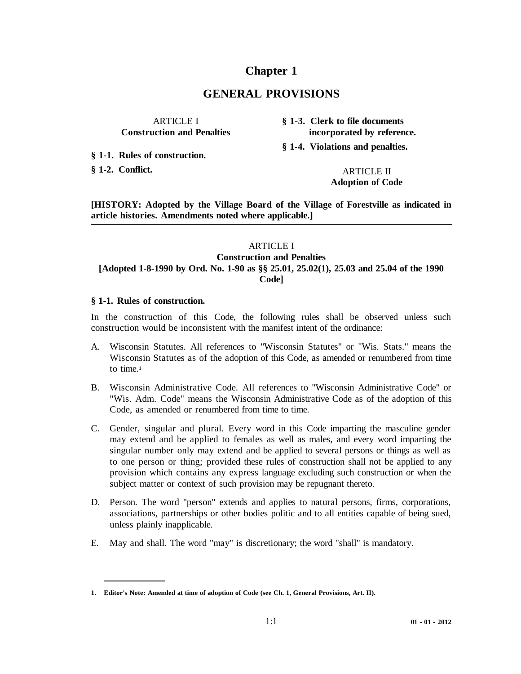# **Chapter 1**

## **GENERAL PROVISIONS**

 **§ 1-1. Rules of construction.**

**§ 1-2. Conflict.** ARTICLE II

ARTICLE I **§ 1-3. Clerk to file documents Construction and Penalties incorporated by reference.**

**§ 1-4. Violations and penalties.**

**Adoption of Code**

**[HISTORY: Adopted by the Village Board of the Village of Forestville as indicated in article histories. Amendments noted where applicable.]**

## ARTICLE I **Construction and Penalties [Adopted 1-8-1990 by Ord. No. 1-90 as §§ 25.01, 25.02(1), 25.03 and 25.04 of the 1990 Code]**

#### **§ 1-1. Rules of construction.**

In the construction of this Code, the following rules shall be observed unless such construction would be inconsistent with the manifest intent of the ordinance:

- A. Wisconsin Statutes. All references to "Wisconsin Statutes" or "Wis. Stats." means the Wisconsin Statutes as of the adoption of this Code, as amended or renumbered from time to time.**<sup>1</sup>**
- B. Wisconsin Administrative Code. All references to "Wisconsin Administrative Code" or "Wis. Adm. Code" means the Wisconsin Administrative Code as of the adoption of this Code, as amended or renumbered from time to time.
- C. Gender, singular and plural. Every word in this Code imparting the masculine gender may extend and be applied to females as well as males, and every word imparting the singular number only may extend and be applied to several persons or things as well as to one person or thing; provided these rules of construction shall not be applied to any provision which contains any express language excluding such construction or when the subject matter or context of such provision may be repugnant thereto.
- D. Person. The word "person" extends and applies to natural persons, firms, corporations, associations, partnerships or other bodies politic and to all entities capable of being sued, unless plainly inapplicable.
- E. May and shall. The word "may" is discretionary; the word "shall" is mandatory.

**<sup>1.</sup> Editor's Note: Amended at time of adoption of Code (see Ch. 1, General Provisions, Art. II).**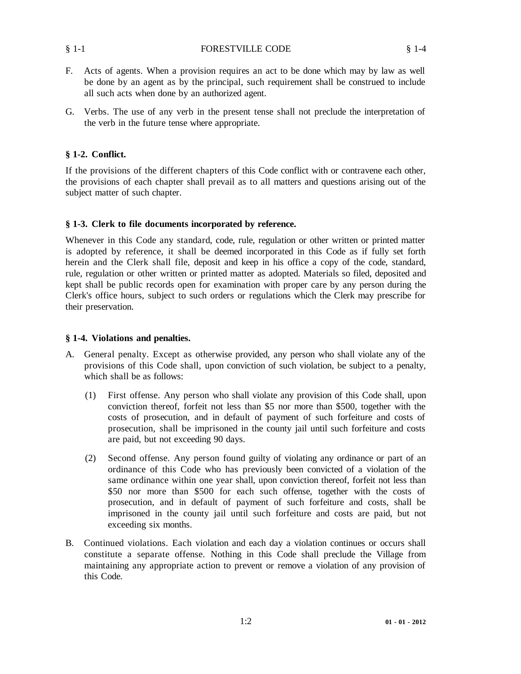#### § 1-1 FORESTVILLE CODE § 1-4

- F. Acts of agents. When a provision requires an act to be done which may by law as well be done by an agent as by the principal, such requirement shall be construed to include all such acts when done by an authorized agent.
- G. Verbs. The use of any verb in the present tense shall not preclude the interpretation of the verb in the future tense where appropriate.

#### **§ 1-2. Conflict.**

If the provisions of the different chapters of this Code conflict with or contravene each other, the provisions of each chapter shall prevail as to all matters and questions arising out of the subject matter of such chapter.

#### **§ 1-3. Clerk to file documents incorporated by reference.**

Whenever in this Code any standard, code, rule, regulation or other written or printed matter is adopted by reference, it shall be deemed incorporated in this Code as if fully set forth herein and the Clerk shall file, deposit and keep in his office a copy of the code, standard, rule, regulation or other written or printed matter as adopted. Materials so filed, deposited and kept shall be public records open for examination with proper care by any person during the Clerk's office hours, subject to such orders or regulations which the Clerk may prescribe for their preservation.

#### **§ 1-4. Violations and penalties.**

- A. General penalty. Except as otherwise provided, any person who shall violate any of the provisions of this Code shall, upon conviction of such violation, be subject to a penalty, which shall be as follows:
	- (1) First offense. Any person who shall violate any provision of this Code shall, upon conviction thereof, forfeit not less than \$5 nor more than \$500, together with the costs of prosecution, and in default of payment of such forfeiture and costs of prosecution, shall be imprisoned in the county jail until such forfeiture and costs are paid, but not exceeding 90 days.
	- (2) Second offense. Any person found guilty of violating any ordinance or part of an ordinance of this Code who has previously been convicted of a violation of the same ordinance within one year shall, upon conviction thereof, forfeit not less than \$50 nor more than \$500 for each such offense, together with the costs of prosecution, and in default of payment of such forfeiture and costs, shall be imprisoned in the county jail until such forfeiture and costs are paid, but not exceeding six months.
- B. Continued violations. Each violation and each day a violation continues or occurs shall constitute a separate offense. Nothing in this Code shall preclude the Village from maintaining any appropriate action to prevent or remove a violation of any provision of this Code.

 $\frac{8}{9}$  1-1